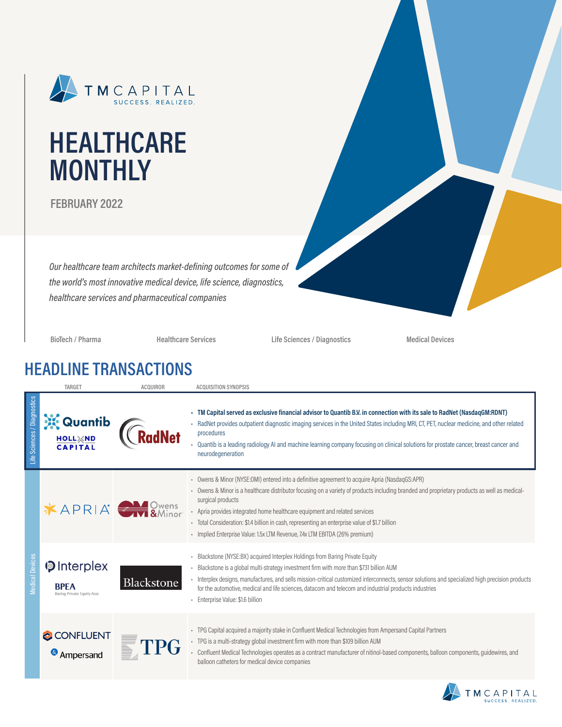

# **HEALTHCARE MONTHLY**

**FEBRUARY 2022**

*Our healthcare team architects market-defining outcomes for some of the world's most innovative medical device, life science, diagnostics, healthcare services and pharmaceutical companies*

**BioTech / Pharma Healthcare Services Life Sciences / Diagnostics Medical Devices**

### **HEADLINE TRANSACTIONS**

|                             | TARGET                                                                 | <b>ACQUIROR</b> | <b>ACQUISITION SYNOPSIS</b>                                                                                                                                                                                                                                                                                                                                                                                                                                                                                                         |
|-----------------------------|------------------------------------------------------------------------|-----------------|-------------------------------------------------------------------------------------------------------------------------------------------------------------------------------------------------------------------------------------------------------------------------------------------------------------------------------------------------------------------------------------------------------------------------------------------------------------------------------------------------------------------------------------|
| Life Sciences / Diagnostics | Quantib<br><b>HOLL<i><b>MD</b></i></b><br><b>CAPITAL</b>               |                 | TM Capital served as exclusive financial advisor to Quantib B.V. in connection with its sale to RadNet (NasdaqGM:RDNT)<br>RadNet provides outpatient diagnostic imaging services in the United States including MRI, CT, PET, nuclear medicine, and other related<br>procedures<br>- Quantib is a leading radiology AI and machine learning company focusing on clinical solutions for prostate cancer, breast cancer and<br>neurodegeneration                                                                                      |
|                             | $X$ APRIA $\rightarrow$ SMinor                                         |                 | - Owens & Minor (NYSE:OMI) entered into a definitive agreement to acquire Apria (NasdagGS:APR)<br>- Owens & Minor is a healthcare distributor focusing on a variety of products including branded and proprietary products as well as medical-<br>surgical products<br>- Apria provides integrated home healthcare equipment and related services<br>- Total Consideration: \$1.4 billion in cash, representing an enterprise value of \$1.7 billion<br>- Implied Enterprise Value: 1.5x LTM Revenue, 7.4x LTM EBITDA (26% premium) |
| <b>Medical Devices</b>      | <b>D</b> Interplex<br><b>RPFA</b><br><b>Baring Private Equity Asia</b> | Blackstone      | Blackstone (NYSE:BX) acquired Interplex Holdings from Baring Private Equity<br>Blackstone is a global multi-strategy investment firm with more than \$731 billion AUM<br>- Interplex designs, manufactures, and sells mission-critical customized interconnects, sensor solutions and specialized high precision products<br>for the automotive, medical and life sciences, datacom and telecom and industrial products industries<br>- Enterprise Value: \$1.6 billion                                                             |
|                             | CONFLUENT<br>Ampersand                                                 |                 | - TPG Capital acquired a majority stake in Confluent Medical Technologies from Ampersand Capital Partners<br>- TPG is a multi-strategy global investment firm with more than \$109 billion AUM<br>Confluent Medical Technologies operates as a contract manufacturer of nitinol-based components, balloon components, guidewires, and<br>balloon catheters for medical device companies                                                                                                                                             |

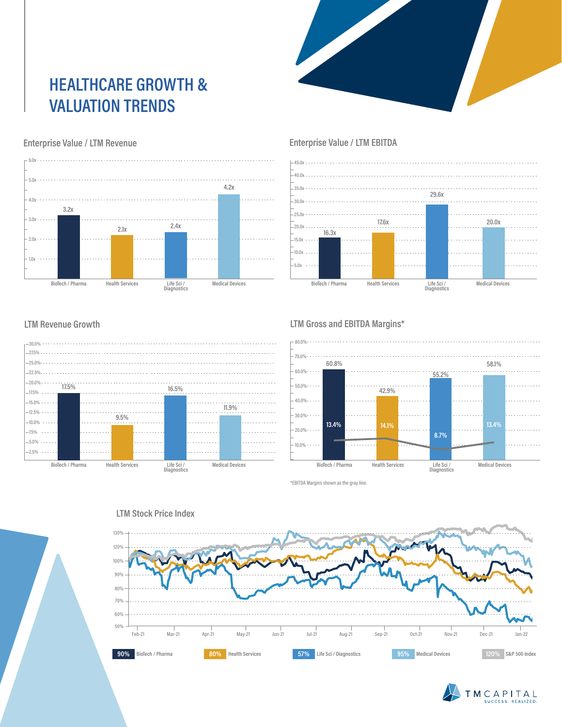## **HEALTHCARE GROWTH & VALUATION TRENDS**



#### **Enterprise Value / LTM Revenue**



#### **Enterprise Value / LTM EBITDA**



#### **LTM Revenue Growth**



#### **LTM Gross and EBITDA Margins\***



\*EBITDA Margins shown as the gray line.